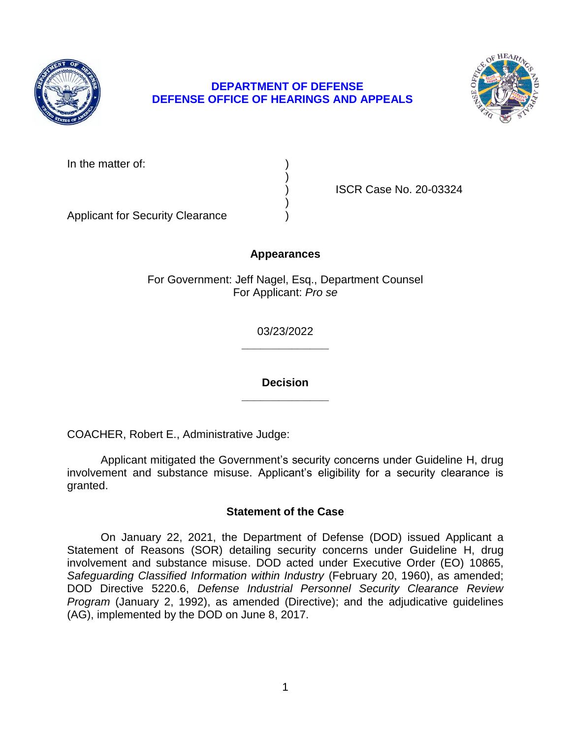

# **DEPARTMENT OF DEFENSE DEFENSE OFFICE OF HEARINGS AND APPEALS**



In the matter of:

) ISCR Case No. 20-03324

Applicant for Security Clearance )

# **Appearances**

)

)

For Government: Jeff Nagel, Esq., Department Counsel For Applicant: *Pro se* 

> **\_\_\_\_\_\_\_\_\_\_\_\_\_\_**  03/23/2022

> **\_\_\_\_\_\_\_\_\_\_\_\_\_\_ Decision**

COACHER, Robert E., Administrative Judge:

 Applicant mitigated the Government's security concerns under Guideline H, drug involvement and substance misuse. Applicant's eligibility for a security clearance is granted.

# **Statement of the Case**

 involvement and substance misuse. DOD acted under Executive Order (EO) 10865, Safeguarding Classified Information within Industry (February 20, 1960), as amended;  DOD Directive 5220.6, *Defense Industrial Personnel Security Clearance Review Program* (January 2, 1992), as amended (Directive); and the adjudicative guidelines On January 22, 2021, the Department of Defense (DOD) issued Applicant a Statement of Reasons (SOR) detailing security concerns under Guideline H, drug (AG), implemented by the DOD on June 8, 2017.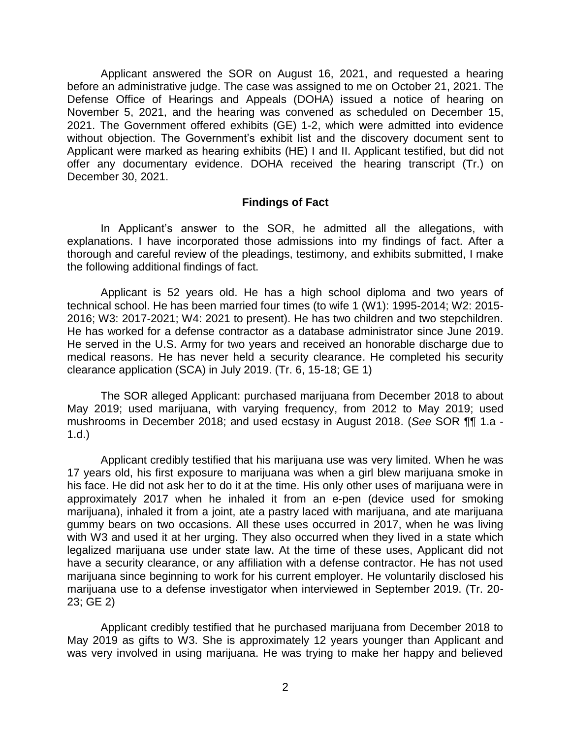Applicant answered the SOR on August 16, 2021, and requested a hearing before an administrative judge. The case was assigned to me on October 21, 2021. The Defense Office of Hearings and Appeals (DOHA) issued a notice of hearing on November 5, 2021, and the hearing was convened as scheduled on December 15, 2021. The Government offered exhibits (GE) 1-2, which were admitted into evidence without objection. The Government's exhibit list and the discovery document sent to Applicant were marked as hearing exhibits (HE) I and II. Applicant testified, but did not offer any documentary evidence. DOHA received the hearing transcript (Tr.) on December 30, 2021.

### **Findings of Fact**

 In Applicant's answer to the SOR, he admitted all the allegations, with explanations. I have incorporated those admissions into my findings of fact. After a thorough and careful review of the pleadings, testimony, and exhibits submitted, I make the following additional findings of fact.

Applicant is 52 years old. He has a high school diploma and two years of technical school. He has been married four times (to wife 1 (W1): 1995-2014; W2: 2015- 2016; W3: 2017-2021; W4: 2021 to present). He has two children and two stepchildren. He has worked for a defense contractor as a database administrator since June 2019. He served in the U.S. Army for two years and received an honorable discharge due to medical reasons. He has never held a security clearance. He completed his security clearance application (SCA) in July 2019. (Tr. 6, 15-18; GE 1)

The SOR alleged Applicant: purchased marijuana from December 2018 to about May 2019; used marijuana, with varying frequency, from 2012 to May 2019; used mushrooms in December 2018; and used ecstasy in August 2018. (*See* SOR ¶¶ 1.a - 1.d.)

Applicant credibly testified that his marijuana use was very limited. When he was 17 years old, his first exposure to marijuana was when a girl blew marijuana smoke in his face. He did not ask her to do it at the time. His only other uses of marijuana were in approximately 2017 when he inhaled it from an e-pen (device used for smoking marijuana), inhaled it from a joint, ate a pastry laced with marijuana, and ate marijuana gummy bears on two occasions. All these uses occurred in 2017, when he was living with W3 and used it at her urging. They also occurred when they lived in a state which legalized marijuana use under state law. At the time of these uses, Applicant did not have a security clearance, or any affiliation with a defense contractor. He has not used marijuana since beginning to work for his current employer. He voluntarily disclosed his marijuana use to a defense investigator when interviewed in September 2019. (Tr. 20- 23; GE 2)

 Applicant credibly testified that he purchased marijuana from December 2018 to May 2019 as gifts to W3. She is approximately 12 years younger than Applicant and was very involved in using marijuana. He was trying to make her happy and believed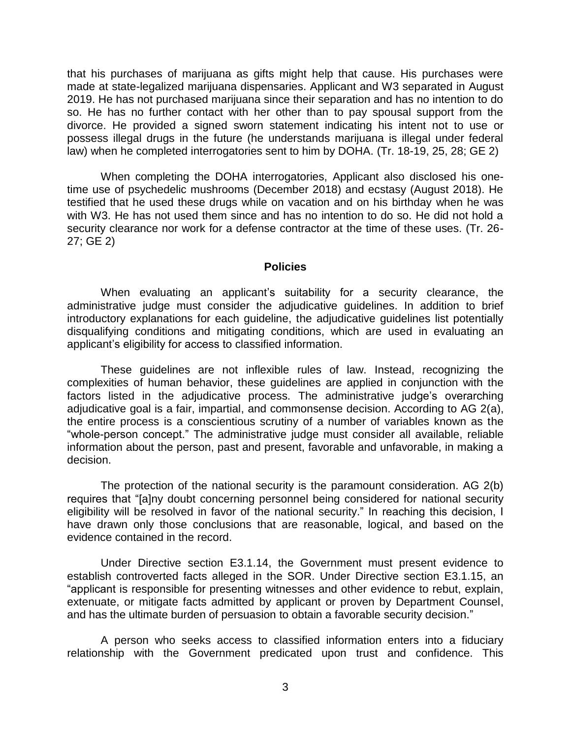that his purchases of marijuana as gifts might help that cause. His purchases were made at state-legalized marijuana dispensaries. Applicant and W3 separated in August 2019. He has not purchased marijuana since their separation and has no intention to do so. He has no further contact with her other than to pay spousal support from the divorce. He provided a signed sworn statement indicating his intent not to use or possess illegal drugs in the future (he understands marijuana is illegal under federal law) when he completed interrogatories sent to him by DOHA. (Tr. 18-19, 25, 28; GE 2)

When completing the DOHA interrogatories, Applicant also disclosed his onetime use of psychedelic mushrooms (December 2018) and ecstasy (August 2018). He testified that he used these drugs while on vacation and on his birthday when he was with W3. He has not used them since and has no intention to do so. He did not hold a security clearance nor work for a defense contractor at the time of these uses. (Tr. 26- 27; GE 2)

#### **Policies**

 When evaluating an applicant's suitability for a security clearance, the administrative judge must consider the adjudicative guidelines. In addition to brief introductory explanations for each guideline, the adjudicative guidelines list potentially disqualifying conditions and mitigating conditions, which are used in evaluating an applicant's eligibility for access to classified information.

 These guidelines are not inflexible rules of law. Instead, recognizing the complexities of human behavior, these guidelines are applied in conjunction with the factors listed in the adjudicative process. The administrative judge's overarching adjudicative goal is a fair, impartial, and commonsense decision. According to AG 2(a), the entire process is a conscientious scrutiny of a number of variables known as the "whole-person concept." The administrative judge must consider all available, reliable information about the person, past and present, favorable and unfavorable, in making a decision.

 The protection of the national security is the paramount consideration. AG 2(b) eligibility will be resolved in favor of the national security." In reaching this decision, I have drawn only those conclusions that are reasonable, logical, and based on the requires that "[a]ny doubt concerning personnel being considered for national security evidence contained in the record.

 Under Directive section E3.1.14, the Government must present evidence to "applicant is responsible for presenting witnesses and other evidence to rebut, explain, extenuate, or mitigate facts admitted by applicant or proven by Department Counsel, and has the ultimate burden of persuasion to obtain a favorable security decision." establish controverted facts alleged in the SOR. Under Directive section E3.1.15, an

 A person who seeks access to classified information enters into a fiduciary relationship with the Government predicated upon trust and confidence. This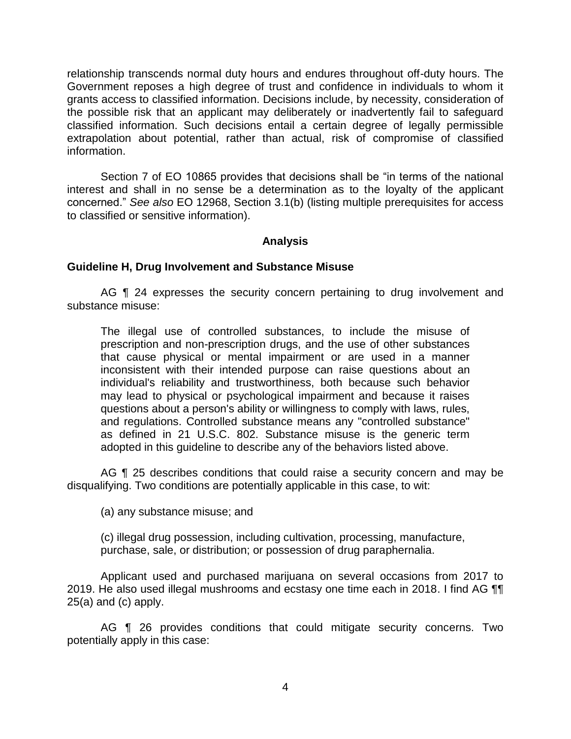relationship transcends normal duty hours and endures throughout off-duty hours. The Government reposes a high degree of trust and confidence in individuals to whom it grants access to classified information. Decisions include, by necessity, consideration of the possible risk that an applicant may deliberately or inadvertently fail to safeguard classified information. Such decisions entail a certain degree of legally permissible extrapolation about potential, rather than actual, risk of compromise of classified information.

 Section 7 of EO 10865 provides that decisions shall be "in terms of the national interest and shall in no sense be a determination as to the loyalty of the applicant concerned." *See also* EO 12968, Section 3.1(b) (listing multiple prerequisites for access to classified or sensitive information).

## **Analysis**

### **Guideline H, Drug Involvement and Substance Misuse**

AG ¶ 24 expresses the security concern pertaining to drug involvement and substance misuse:

The illegal use of controlled substances, to include the misuse of prescription and non-prescription drugs, and the use of other substances that cause physical or mental impairment or are used in a manner inconsistent with their intended purpose can raise questions about an individual's reliability and trustworthiness, both because such behavior may lead to physical or psychological impairment and because it raises questions about a person's ability or willingness to comply with laws, rules, and regulations. Controlled substance means any "controlled substance" as defined in 21 U.S.C. 802. Substance misuse is the generic term adopted in this guideline to describe any of the behaviors listed above.

AG ¶ 25 describes conditions that could raise a security concern and may be disqualifying. Two conditions are potentially applicable in this case, to wit:

(a) any substance misuse; and

(c) illegal drug possession, including cultivation, processing, manufacture, purchase, sale, or distribution; or possession of drug paraphernalia.

 Applicant used and purchased marijuana on several occasions from 2017 to 2019. He also used illegal mushrooms and ecstasy one time each in 2018. I find AG  $\P\P$ 25(a) and (c) apply.

 AG ¶ 26 provides conditions that could mitigate security concerns. Two potentially apply in this case: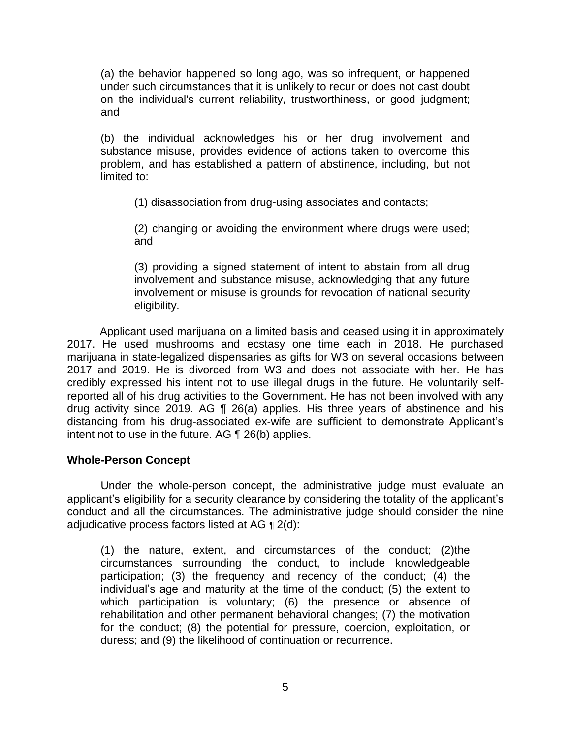(a) the behavior happened so long ago, was so infrequent, or happened under such circumstances that it is unlikely to recur or does not cast doubt on the individual's current reliability, trustworthiness, or good judgment; and

(b) the individual acknowledges his or her drug involvement and substance misuse, provides evidence of actions taken to overcome this problem, and has established a pattern of abstinence, including, but not limited to:

(1) disassociation from drug-using associates and contacts;

(2) changing or avoiding the environment where drugs were used; and

(3) providing a signed statement of intent to abstain from all drug involvement and substance misuse, acknowledging that any future involvement or misuse is grounds for revocation of national security eligibility.

 Applicant used marijuana on a limited basis and ceased using it in approximately 2017. He used mushrooms and ecstasy one time each in 2018. He purchased marijuana in state-legalized dispensaries as gifts for W3 on several occasions between 2017 and 2019. He is divorced from W3 and does not associate with her. He has credibly expressed his intent not to use illegal drugs in the future. He voluntarily self- reported all of his drug activities to the Government. He has not been involved with any drug activity since 2019. AG  $\P$  26(a) applies. His three years of abstinence and his distancing from his drug-associated ex-wife are sufficient to demonstrate Applicant's intent not to use in the future. AG ¶ 26(b) applies.

# **Whole-Person Concept**

 Under the whole-person concept, the administrative judge must evaluate an applicant's eligibility for a security clearance by considering the totality of the applicant's conduct and all the circumstances. The administrative judge should consider the nine adjudicative process factors listed at AG ¶ 2(d):

(1) the nature, extent, and circumstances of the conduct; (2)the circumstances surrounding the conduct, to include knowledgeable participation; (3) the frequency and recency of the conduct; (4) the individual's age and maturity at the time of the conduct; (5) the extent to which participation is voluntary; (6) the presence or absence of rehabilitation and other permanent behavioral changes; (7) the motivation for the conduct; (8) the potential for pressure, coercion, exploitation, or duress; and (9) the likelihood of continuation or recurrence.